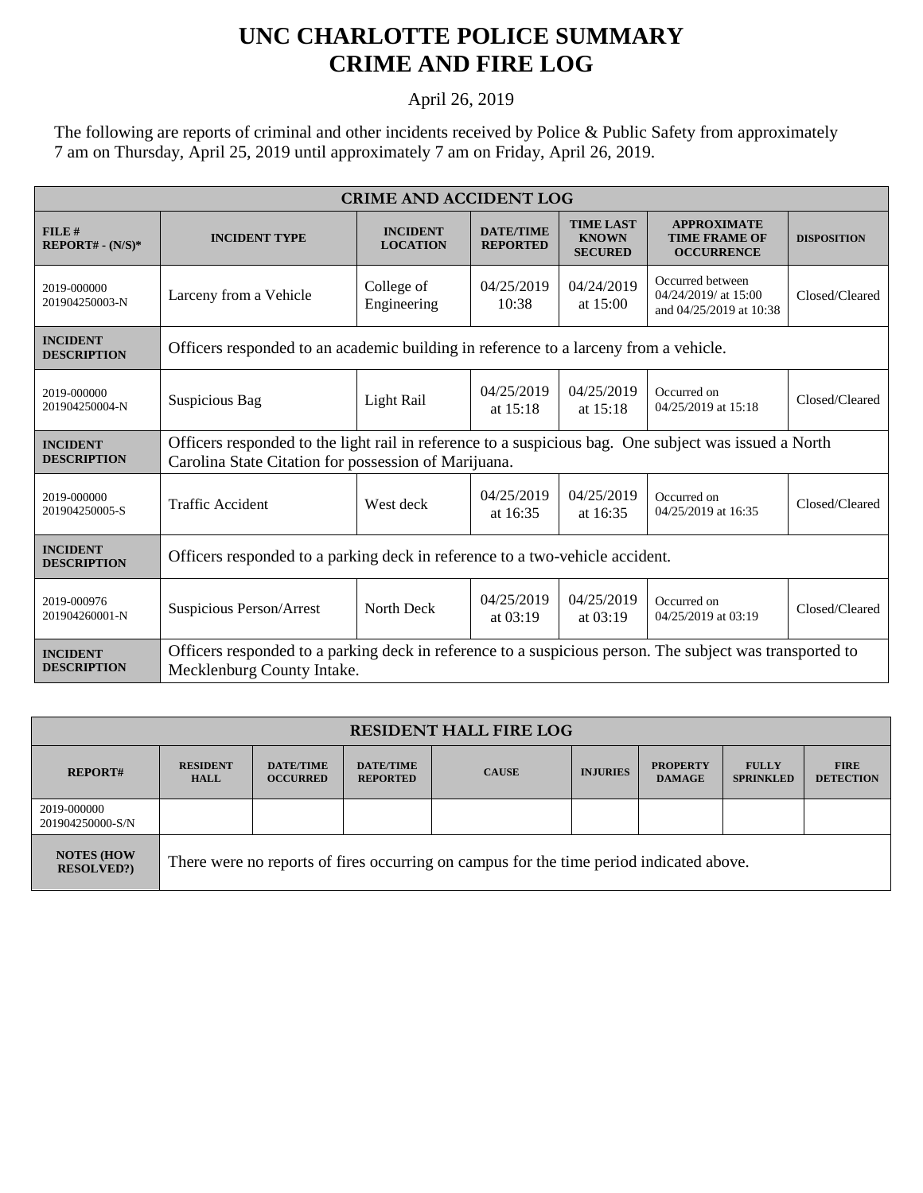## **UNC CHARLOTTE POLICE SUMMARY CRIME AND FIRE LOG**

April 26, 2019

The following are reports of criminal and other incidents received by Police & Public Safety from approximately 7 am on Thursday, April 25, 2019 until approximately 7 am on Friday, April 26, 2019.

| <b>CRIME AND ACCIDENT LOG</b>         |                                                                                                                                                               |                                    |                                     |                                                    |                                                                     |                    |  |  |
|---------------------------------------|---------------------------------------------------------------------------------------------------------------------------------------------------------------|------------------------------------|-------------------------------------|----------------------------------------------------|---------------------------------------------------------------------|--------------------|--|--|
| FILE#<br>$REPORT# - (N/S)*$           | <b>INCIDENT TYPE</b>                                                                                                                                          | <b>INCIDENT</b><br><b>LOCATION</b> | <b>DATE/TIME</b><br><b>REPORTED</b> | <b>TIME LAST</b><br><b>KNOWN</b><br><b>SECURED</b> | <b>APPROXIMATE</b><br><b>TIME FRAME OF</b><br><b>OCCURRENCE</b>     | <b>DISPOSITION</b> |  |  |
| 2019-000000<br>201904250003-N         | Larceny from a Vehicle                                                                                                                                        | College of<br>Engineering          | 04/25/2019<br>10:38                 | 04/24/2019<br>at $15:00$                           | Occurred between<br>04/24/2019/ at 15:00<br>and 04/25/2019 at 10:38 | Closed/Cleared     |  |  |
| <b>INCIDENT</b><br><b>DESCRIPTION</b> | Officers responded to an academic building in reference to a larceny from a vehicle.                                                                          |                                    |                                     |                                                    |                                                                     |                    |  |  |
| 2019-000000<br>201904250004-N         | Suspicious Bag                                                                                                                                                | Light Rail                         | 04/25/2019<br>at 15:18              | 04/25/2019<br>at 15:18                             | Occurred on<br>04/25/2019 at 15:18                                  | Closed/Cleared     |  |  |
| <b>INCIDENT</b><br><b>DESCRIPTION</b> | Officers responded to the light rail in reference to a suspicious bag. One subject was issued a North<br>Carolina State Citation for possession of Marijuana. |                                    |                                     |                                                    |                                                                     |                    |  |  |
| 2019-000000<br>201904250005-S         | <b>Traffic Accident</b>                                                                                                                                       | West deck                          | 04/25/2019<br>at 16:35              | 04/25/2019<br>at 16:35                             | Occurred on<br>04/25/2019 at 16:35                                  | Closed/Cleared     |  |  |
| <b>INCIDENT</b><br><b>DESCRIPTION</b> | Officers responded to a parking deck in reference to a two-vehicle accident.                                                                                  |                                    |                                     |                                                    |                                                                     |                    |  |  |
| 2019-000976<br>201904260001-N         | Suspicious Person/Arrest                                                                                                                                      | North Deck                         | 04/25/2019<br>at $03:19$            | 04/25/2019<br>at $03:19$                           | Occurred on<br>04/25/2019 at 03:19                                  | Closed/Cleared     |  |  |
| <b>INCIDENT</b><br><b>DESCRIPTION</b> | Officers responded to a parking deck in reference to a suspicious person. The subject was transported to<br>Mecklenburg County Intake.                        |                                    |                                     |                                                    |                                                                     |                    |  |  |

| <b>RESIDENT HALL FIRE LOG</b>          |                                                                                         |                                     |                                     |              |                 |                                  |                                  |                                 |
|----------------------------------------|-----------------------------------------------------------------------------------------|-------------------------------------|-------------------------------------|--------------|-----------------|----------------------------------|----------------------------------|---------------------------------|
| <b>REPORT#</b>                         | <b>RESIDENT</b><br><b>HALL</b>                                                          | <b>DATE/TIME</b><br><b>OCCURRED</b> | <b>DATE/TIME</b><br><b>REPORTED</b> | <b>CAUSE</b> | <b>INJURIES</b> | <b>PROPERTY</b><br><b>DAMAGE</b> | <b>FULLY</b><br><b>SPRINKLED</b> | <b>FIRE</b><br><b>DETECTION</b> |
| 2019-000000<br>201904250000-S/N        |                                                                                         |                                     |                                     |              |                 |                                  |                                  |                                 |
| <b>NOTES (HOW</b><br><b>RESOLVED?)</b> | There were no reports of fires occurring on campus for the time period indicated above. |                                     |                                     |              |                 |                                  |                                  |                                 |